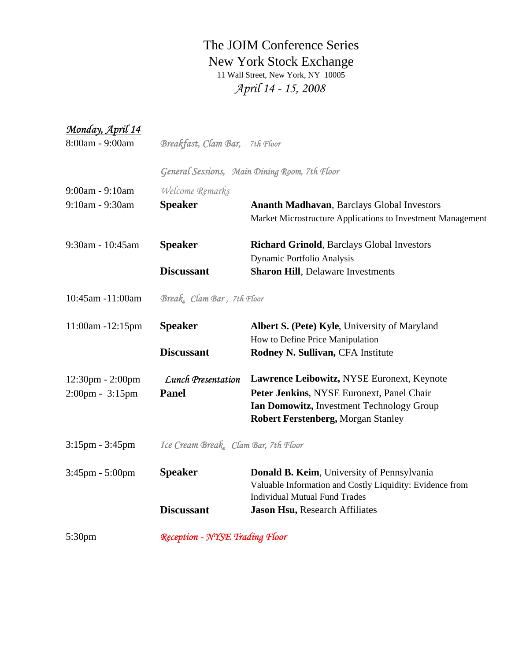## The JOIM Conference Series New York Stock Exchange *April 14 - 15, 2008* 11 Wall Street, New York, NY 10005

| Monday, April 14                   |                                       |                                                             |  |
|------------------------------------|---------------------------------------|-------------------------------------------------------------|--|
| 8:00am - 9:00am                    | Breakfast, Clam Bar, 7th Floor        |                                                             |  |
|                                    |                                       | General Sessions, Main Dining Room, 7th Floor               |  |
| 9:00am - 9:10am                    | Welcome Remarks                       |                                                             |  |
| 9:10am - 9:30am                    | <b>Speaker</b>                        | <b>Ananth Madhavan, Barclays Global Investors</b>           |  |
|                                    |                                       | Market Microstructure Applications to Investment Management |  |
| 9:30am - 10:45am                   | <b>Speaker</b>                        | <b>Richard Grinold, Barclays Global Investors</b>           |  |
|                                    |                                       | Dynamic Portfolio Analysis                                  |  |
|                                    | <b>Discussant</b>                     | <b>Sharon Hill, Delaware Investments</b>                    |  |
| 10:45am -11:00am                   |                                       | Break, Clam Bar, 7th Floor                                  |  |
| 11:00am -12:15pm                   | <b>Speaker</b>                        | <b>Albert S. (Pete) Kyle, University of Maryland</b>        |  |
|                                    |                                       | How to Define Price Manipulation                            |  |
|                                    | <b>Discussant</b>                     | Rodney N. Sullivan, CFA Institute                           |  |
| $12:30 \text{pm} - 2:00 \text{pm}$ | <b>Lunch Presentation</b>             | Lawrence Leibowitz, NYSE Euronext, Keynote                  |  |
| $2:00 \text{pm} - 3:15 \text{pm}$  | <b>Panel</b>                          | Peter Jenkins, NYSE Euronext, Panel Chair                   |  |
|                                    |                                       | Ian Domowitz, Investment Technology Group                   |  |
|                                    |                                       | <b>Robert Ferstenberg, Morgan Stanley</b>                   |  |
| $3:15$ pm - $3:45$ pm              | Ice Cream Break, Clam Bar, 7th Floor  |                                                             |  |
| 3:45pm - 5:00pm                    | <b>Speaker</b>                        | Donald B. Keim, University of Pennsylvania                  |  |
|                                    |                                       | Valuable Information and Costly Liquidity: Evidence from    |  |
|                                    |                                       | <b>Individual Mutual Fund Trades</b>                        |  |
|                                    | <b>Discussant</b>                     | Jason Hsu, Research Affiliates                              |  |
| 5:30pm                             | <b>Reception - NYSE Trading Floor</b> |                                                             |  |